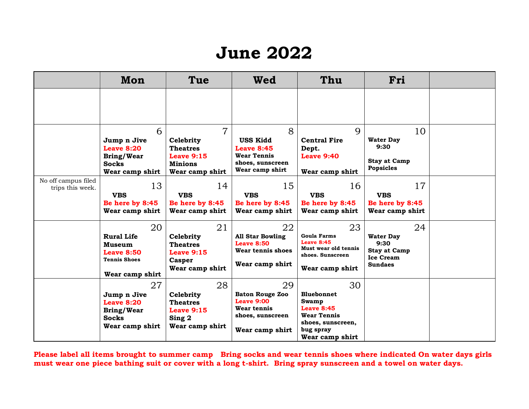## **June 2022**

|                                         | Mon                                                                                              | Tue                                                                                                 | Wed                                                                                              | Thu                                                                                                                       | Fri                                                                                         |  |
|-----------------------------------------|--------------------------------------------------------------------------------------------------|-----------------------------------------------------------------------------------------------------|--------------------------------------------------------------------------------------------------|---------------------------------------------------------------------------------------------------------------------------|---------------------------------------------------------------------------------------------|--|
|                                         |                                                                                                  |                                                                                                     |                                                                                                  |                                                                                                                           |                                                                                             |  |
|                                         | 6<br>Jump n Jive<br>Leave 8:20<br><b>Bring/Wear</b><br><b>Socks</b><br>Wear camp shirt           | $\overline{7}$<br>Celebrity<br><b>Theatres</b><br>Leave $9:15$<br><b>Minions</b><br>Wear camp shirt | 8<br><b>USS Kidd</b><br>Leave 8:45<br><b>Wear Tennis</b><br>shoes, sunscreen<br>Wear camp shirt  | $\mathbf Q$<br><b>Central Fire</b><br>Dept.<br><b>Leave 9:40</b><br>Wear camp shirt                                       | 10<br><b>Water Day</b><br>9:30<br><b>Stay at Camp</b><br><b>Popsicles</b>                   |  |
| No off campus filed<br>trips this week. | 13<br><b>VBS</b><br>Be here by 8:45<br>Wear camp shirt                                           | 14<br><b>VBS</b><br>Be here by 8:45<br>Wear camp shirt                                              | 15<br><b>VBS</b><br>Be here by 8:45<br>Wear camp shirt                                           | 16<br><b>VBS</b><br>Be here by 8:45<br>Wear camp shirt                                                                    | 17<br><b>VBS</b><br>Be here by 8:45<br>Wear camp shirt                                      |  |
|                                         | 20<br><b>Rural Life</b><br>Museum<br><b>Leave 8:50</b><br><b>Tennis Shoes</b><br>Wear camp shirt | 21<br>Celebrity<br><b>Theatres</b><br>Leave $9:15$<br>Casper<br>Wear camp shirt                     | 22<br><b>All Star Bowling</b><br><b>Leave 8:50</b><br>Wear tennis shoes<br>Wear camp shirt       | 23<br><b>Goula Farms</b><br>Leave $8:45$<br>Must wear old tennis<br>shoes. Sunscreen<br>Wear camp shirt                   | 24<br><b>Water Day</b><br>9:30<br><b>Stay at Camp</b><br><b>Ice Cream</b><br><b>Sundaes</b> |  |
|                                         | 27<br>Jump n Jive<br><b>Leave 8:20</b><br><b>Bring/Wear</b><br><b>Socks</b><br>Wear camp shirt   | 28<br>Celebrity<br><b>Theatres</b><br>Leave $9:15$<br>Sing 2<br>Wear camp shirt                     | 29<br><b>Baton Rouge Zoo</b><br>Leave 9:00<br>Wear tennis<br>shoes, sunscreen<br>Wear camp shirt | 30<br><b>Bluebonnet</b><br>Swamp<br>Leave 8:45<br><b>Wear Tennis</b><br>shoes, sunscreen,<br>bug spray<br>Wear camp shirt |                                                                                             |  |

**Please label all items brought to summer camp Bring socks and wear tennis shoes where indicated On water days girls must wear one piece bathing suit or cover with a long t-shirt. Bring spray sunscreen and a towel on water days.**